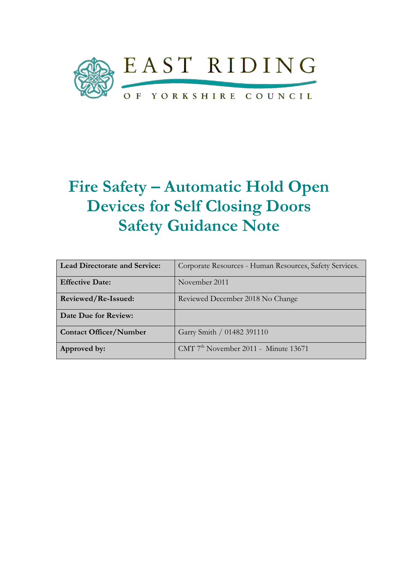

# Fire Safety – Automatic Hold Open Devices for Self Closing Doors Safety Guidance Note

| <b>Lead Directorate and Service:</b> | Corporate Resources - Human Resources, Safety Services. |
|--------------------------------------|---------------------------------------------------------|
| <b>Effective Date:</b>               | November 2011                                           |
| Reviewed/Re-Issued:                  | Reviewed December 2018 No Change                        |
| Date Due for Review:                 |                                                         |
| <b>Contact Officer/Number</b>        | Garry Smith / 01482 391110                              |
| Approved by:                         | $CMT$ 7 <sup>th</sup> November 2011 - Minute 13671      |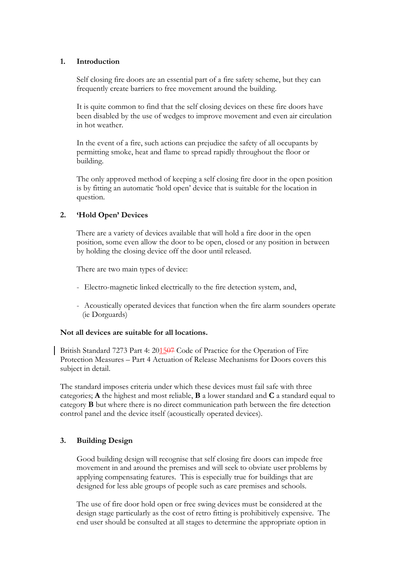# 1. Introduction

Self closing fire doors are an essential part of a fire safety scheme, but they can frequently create barriers to free movement around the building.

It is quite common to find that the self closing devices on these fire doors have been disabled by the use of wedges to improve movement and even air circulation in hot weather.

In the event of a fire, such actions can prejudice the safety of all occupants by permitting smoke, heat and flame to spread rapidly throughout the floor or building.

The only approved method of keeping a self closing fire door in the open position is by fitting an automatic 'hold open' device that is suitable for the location in question.

# 2. 'Hold Open' Devices

There are a variety of devices available that will hold a fire door in the open position, some even allow the door to be open, closed or any position in between by holding the closing device off the door until released.

There are two main types of device:

- Electro-magnetic linked electrically to the fire detection system, and,
- Acoustically operated devices that function when the fire alarm sounders operate (ie Dorguards)

### Not all devices are suitable for all locations.

British Standard 7273 Part 4: 201507 Code of Practice for the Operation of Fire Protection Measures – Part 4 Actuation of Release Mechanisms for Doors covers this subject in detail.

The standard imposes criteria under which these devices must fail safe with three categories; A the highest and most reliable, B a lower standard and C a standard equal to category B but where there is no direct communication path between the fire detection control panel and the device itself (acoustically operated devices).

# 3. Building Design

Good building design will recognise that self closing fire doors can impede free movement in and around the premises and will seek to obviate user problems by applying compensating features. This is especially true for buildings that are designed for less able groups of people such as care premises and schools.

The use of fire door hold open or free swing devices must be considered at the design stage particularly as the cost of retro fitting is prohibitively expensive. The end user should be consulted at all stages to determine the appropriate option in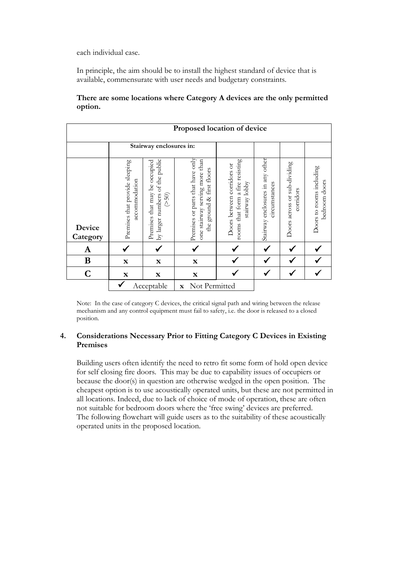each individual case.

In principle, the aim should be to install the highest standard of device that is available, commensurate with user needs and budgetary constraints.

# There are some locations where Category A devices are the only permitted option.

| Proposed location of device |                                                 |                                                                              |                                                                                                             |                                                                                  |                                                   |                                           |                                           |  |  |
|-----------------------------|-------------------------------------------------|------------------------------------------------------------------------------|-------------------------------------------------------------------------------------------------------------|----------------------------------------------------------------------------------|---------------------------------------------------|-------------------------------------------|-------------------------------------------|--|--|
|                             | Stairway enclosures in:                         |                                                                              |                                                                                                             |                                                                                  |                                                   |                                           |                                           |  |  |
| Device<br>Category          | Premises that provide sleeping<br>accommodation | by larger numbers of the public<br>Premises that may be occupied<br>$($ >50) | Premises or parts that have only<br>serving more than<br>first floors<br>ground &<br>stairway<br>the<br>one | rooms that form a fire resisting<br>Doors between corridors or<br>stairway lobby | Stairway enclosures in any other<br>circumstances | Doors across or sub-dividing<br>corridors | Doors to rooms including<br>bedroom doors |  |  |
| A                           |                                                 |                                                                              |                                                                                                             |                                                                                  |                                                   |                                           |                                           |  |  |
| $\bf{B}$                    | $\mathbf X$                                     | $\mathbf X$                                                                  | $\mathbf X$                                                                                                 |                                                                                  |                                                   |                                           |                                           |  |  |
| $\overline{C}$              | $\mathbf x$                                     | $\mathbf X$                                                                  | $\mathbf X$                                                                                                 |                                                                                  |                                                   |                                           |                                           |  |  |
|                             | Acceptable<br>Not Permitted<br>$\mathbf X$      |                                                                              |                                                                                                             |                                                                                  |                                                   |                                           |                                           |  |  |

Note: In the case of category C devices, the critical signal path and wiring between the release mechanism and any control equipment must fail to safety, i.e. the door is released to a closed position.

# 4. Considerations Necessary Prior to Fitting Category C Devices in Existing Premises

Building users often identify the need to retro fit some form of hold open device for self closing fire doors. This may be due to capability issues of occupiers or because the door(s) in question are otherwise wedged in the open position. The cheapest option is to use acoustically operated units, but these are not permitted in all locations. Indeed, due to lack of choice of mode of operation, these are often not suitable for bedroom doors where the 'free swing' devices are preferred. The following flowchart will guide users as to the suitability of these acoustically operated units in the proposed location.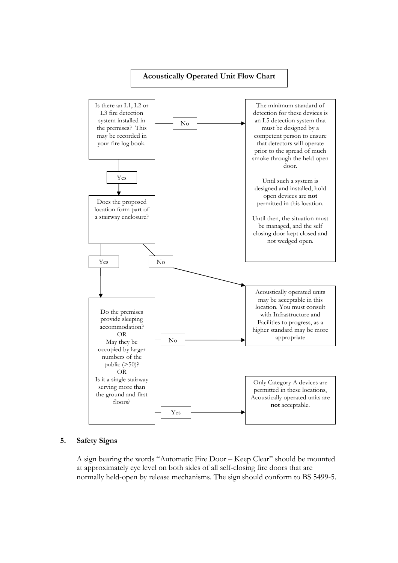

### 5. Safety Signs

A sign bearing the words "Automatic Fire Door – Keep Clear" should be mounted at approximately eye level on both sides of all self-closing fire doors that are normally held-open by release mechanisms. The sign should conform to BS 5499-5.